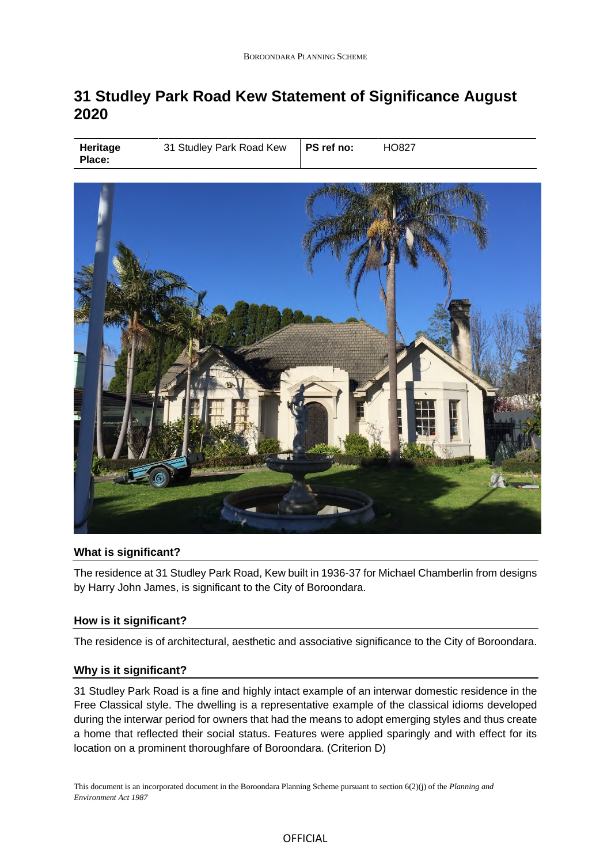# **31 Studley Park Road Kew Statement of Significance August 2020**

| Heritage<br><b>Place:</b> | 31 Studley Park Road Kew | PS ref no: | HO827 |
|---------------------------|--------------------------|------------|-------|
|---------------------------|--------------------------|------------|-------|



# **What is significant?**

The residence at 31 Studley Park Road, Kew built in 1936-37 for Michael Chamberlin from designs by Harry John James, is significant to the City of Boroondara.

#### **How is it significant?**

The residence is of architectural, aesthetic and associative significance to the City of Boroondara.

## **Why is it significant?**

31 Studley Park Road is a fine and highly intact example of an interwar domestic residence in the Free Classical style. The dwelling is a representative example of the classical idioms developed during the interwar period for owners that had the means to adopt emerging styles and thus create a home that reflected their social status. Features were applied sparingly and with effect for its location on a prominent thoroughfare of Boroondara. (Criterion D)

This document is an incorporated document in the Boroondara Planning Scheme pursuant to section 6(2)(j) of the *Planning and Environment Act 1987*

### OFFICIAL